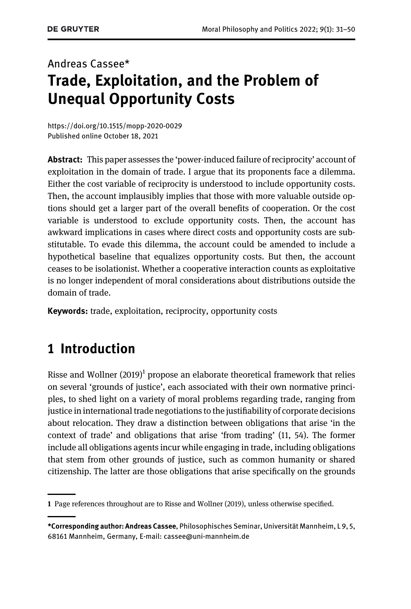# Andreas Cassee\* Trade, Exploitation, and the Problem of Unequal Opportunity Costs

<https://doi.org/10.1515/mopp-2020-0029> [Published online October 18, 2021](https://doi.org/10.1515/mopp-2020-0029)

**Abstract:** This paper assesses the 'power-induced failure of reciprocity' account of exploitation in the domain of trade. I argue that its proponents face a dilemma. Either the cost variable of reciprocity is understood to include opportunity costs. Then, the account implausibly implies that those with more valuable outside options should get a larger part of the overall benefits of cooperation. Or the cost variable is understood to exclude opportunity costs. Then, the account has awkward implications in cases where direct costs and opportunity costs are substitutable. To evade this dilemma, the account could be amended to include a hypothetical baseline that equalizes opportunity costs. But then, the account ceases to be isolationist. Whether a cooperative interaction counts as exploitative is no longer independent of moral considerations about distributions outside the domain of trade.

Keywords: trade, exploitation, reciprocity, opportunity costs

## 1 Introduction

Risse and Wollner  $(2019)^1$  propose an elaborate theoretical framework that relies on several 'grounds of justice', each associated with their own normative principles, to shed light on a variety of moral problems regarding trade, ranging from justice in international trade negotiations to the justifiability of corporate decisions about relocation. They draw a distinction between obligations that arise 'in the context of trade' and obligations that arise 'from trading' (11, 54). The former include all obligations agents incur while engaging in trade, including obligations that stem from other grounds of justice, such as common humanity or shared citizenship. The latter are those obligations that arise specifically on the grounds

<sup>1</sup> Page references throughout are to [Risse and Wollner \(2019\),](#page-19-0) unless otherwise specified.

<sup>\*</sup>Corresponding author: Andreas Cassee, Philosophisches Seminar, Universität Mannheim, L 9, 5, 68161 Mannheim, Germany, E-mail: [cassee@uni-mannheim.de](mailto:cassee@uni-mannheim.de)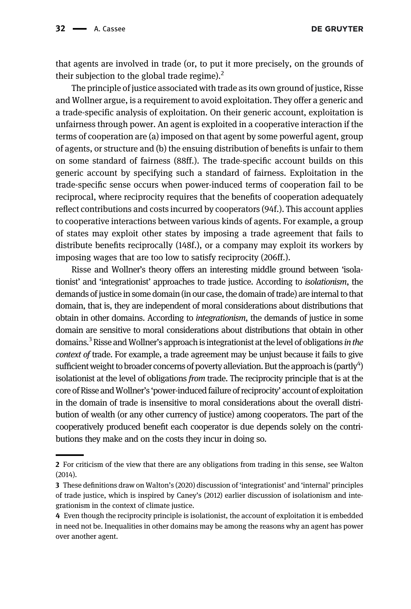**DE GRUYTER** 

that agents are involved in trade (or, to put it more precisely, on the grounds of their subjection to the global trade regime). $<sup>2</sup>$ </sup>

The principle of justice associated with trade as its own ground of justice, Risse and Wollner argue, is a requirement to avoid exploitation. They offer a generic and a trade-specific analysis of exploitation. On their generic account, exploitation is unfairness through power. An agent is exploited in a cooperative interaction if the terms of cooperation are (a) imposed on that agent by some powerful agent, group of agents, or structure and (b) the ensuing distribution of benefits is unfair to them on some standard of fairness (88ff.). The trade-specific account builds on this generic account by specifying such a standard of fairness. Exploitation in the trade-specific sense occurs when power-induced terms of cooperation fail to be reciprocal, where reciprocity requires that the benefits of cooperation adequately reflect contributions and costs incurred by cooperators (94f.). This account applies to cooperative interactions between various kinds of agents. For example, a group of states may exploit other states by imposing a trade agreement that fails to distribute benefits reciprocally (148f.), or a company may exploit its workers by imposing wages that are too low to satisfy reciprocity (206ff.).

Risse and Wollner's theory offers an interesting middle ground between 'isolationist' and 'integrationist' approaches to trade justice. According to isolationism, the demands of justice in some domain (in our case, the domain of trade) are internal to that domain, that is, they are independent of moral considerations about distributions that obtain in other domains. According to integrationism, the demands of justice in some domain are sensitive to moral considerations about distributions that obtain in other domains.<sup>3</sup> Risse and Wollner's approach is integrationist at the level of obligations in the context of trade. For example, a trade agreement may be unjust because it fails to give sufficient weight to broader concerns of poverty alleviation. But the approach is (partly<sup>4</sup>) isolationist at the level of obligations from trade. The reciprocity principle that is at the core of Risse andWollner's 'power-induced failure of reciprocity' account of exploitation in the domain of trade is insensitive to moral considerations about the overall distribution of wealth (or any other currency of justice) among cooperators. The part of the cooperatively produced benefit each cooperator is due depends solely on the contributions they make and on the costs they incur in doing so.

<sup>2</sup> For criticism of the view that there are any obligations from trading in this sense, see [Walton](#page-19-1) [\(2014\)](#page-19-1).

<sup>3</sup> These definitions draw on Walton'[s \(2020\)](#page-19-2) discussion of 'integrationist' and 'internal' principles of trade justice, which is inspired by Caney'[s \(2012\)](#page-19-3) earlier discussion of isolationism and integrationism in the context of climate justice.

<sup>4</sup> Even though the reciprocity principle is isolationist, the account of exploitation it is embedded in need not be. Inequalities in other domains may be among the reasons why an agent has power over another agent.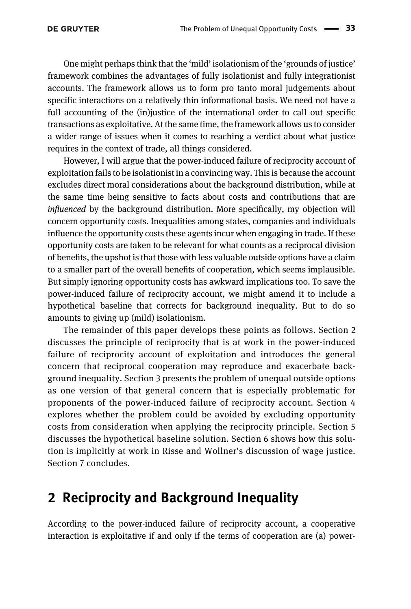One might perhaps think that the 'mild' isolationism of the 'grounds of justice' framework combines the advantages of fully isolationist and fully integrationist accounts. The framework allows us to form pro tanto moral judgements about specific interactions on a relatively thin informational basis. We need not have a full accounting of the (in)justice of the international order to call out specific transactions as exploitative. At the same time, the framework allows us to consider a wider range of issues when it comes to reaching a verdict about what justice requires in the context of trade, all things considered.

However, I will argue that the power-induced failure of reciprocity account of exploitation fails to be isolationist in a convincing way. This is because the account excludes direct moral considerations about the background distribution, while at the same time being sensitive to facts about costs and contributions that are influenced by the background distribution. More specifically, my objection will concern opportunity costs. Inequalities among states, companies and individuals influence the opportunity costs these agents incur when engaging in trade. If these opportunity costs are taken to be relevant for what counts as a reciprocal division of benefits, the upshot is that those with less valuable outside options have a claim to a smaller part of the overall benefits of cooperation, which seems implausible. But simply ignoring opportunity costs has awkward implications too. To save the power-induced failure of reciprocity account, we might amend it to include a hypothetical baseline that corrects for background inequality. But to do so amounts to giving up (mild) isolationism.

The remainder of this paper develops these points as follows. [Section 2](#page-2-0) discusses the principle of reciprocity that is at work in the power-induced failure of reciprocity account of exploitation and introduces the general concern that reciprocal cooperation may reproduce and exacerbate background inequality. [Section 3](#page-5-0) presents the problem of unequal outside options as one version of that general concern that is especially problematic for proponents of the power-induced failure of reciprocity account. [Section 4](#page-10-0) explores whether the problem could be avoided by excluding opportunity costs from consideration when applying the reciprocity principle. [Section 5](#page-12-0) discusses the hypothetical baseline solution. [Section 6](#page-13-0) shows how this solution is implicitly at work in Risse and Wollner's discussion of wage justice. [Section 7](#page-18-0) concludes.

### <span id="page-2-0"></span>2 Reciprocity and Background Inequality

According to the power-induced failure of reciprocity account, a cooperative interaction is exploitative if and only if the terms of cooperation are (a) power-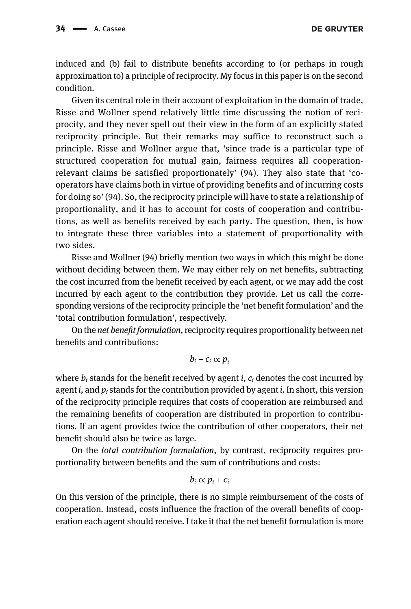**DE GRUYTER** 

induced and (b) fail to distribute benefits according to (or perhaps in rough approximation to) a principle of reciprocity. My focus in this paper is on the second condition.

Given its central role in their account of exploitation in the domain of trade, Risse and Wollner spend relatively little time discussing the notion of reciprocity, and they never spell out their view in the form of an explicitly stated reciprocity principle. But their remarks may suffice to reconstruct such a principle. Risse and Wollner argue that, 'since trade is a particular type of structured cooperation for mutual gain, fairness requires all cooperationrelevant claims be satisfied proportionately' (94). They also state that 'cooperators have claims both in virtue of providing benefits and of incurring costs for doing so' (94). So, the reciprocity principle will have to state a relationship of proportionality, and it has to account for costs of cooperation and contributions, as well as benefits received by each party. The question, then, is how to integrate these three variables into a statement of proportionality with two sides.

Risse and Wollner (94) briefly mention two ways in which this might be done without deciding between them. We may either rely on net benefits, subtracting the cost incurred from the benefit received by each agent, or we may add the cost incurred by each agent to the contribution they provide. Let us call the corresponding versions of the reciprocity principle the 'net benefit formulation' and the 'total contribution formulation', respectively.

On the net benefit formulation, reciprocity requires proportionality between net benefits and contributions:

$$
b_i-c_i\propto p_i
$$

where  $b_i$  stands for the benefit received by agent i,  $c_i$  denotes the cost incurred by agent *i*, and  $p_i$  stands for the contribution provided by agent *i*. In short, this version of the reciprocity principle requires that costs of cooperation are reimbursed and the remaining benefits of cooperation are distributed in proportion to contributions. If an agent provides twice the contribution of other cooperators, their net benefit should also be twice as large.

On the total contribution formulation, by contrast, reciprocity requires proportionality between benefits and the sum of contributions and costs:

$$
b_i\propto p_i+c_i
$$

On this version of the principle, there is no simple reimbursement of the costs of cooperation. Instead, costs influence the fraction of the overall benefits of cooperation each agent should receive. I take it that the net benefit formulation is more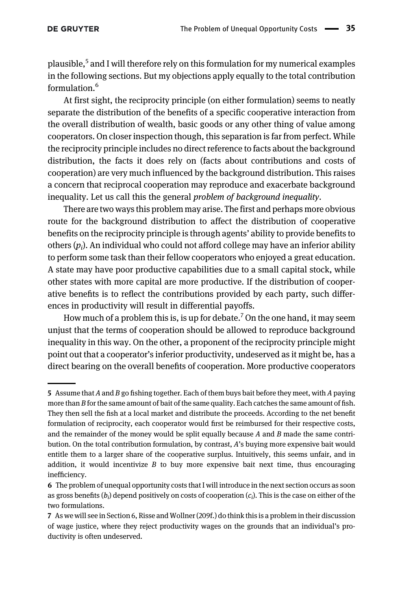plausible,<sup>5</sup> and I will therefore rely on this formulation for my numerical examples in the following sections. But my objections apply equally to the total contribution formulation.<sup>6</sup>

At first sight, the reciprocity principle (on either formulation) seems to neatly separate the distribution of the benefits of a specific cooperative interaction from the overall distribution of wealth, basic goods or any other thing of value among cooperators. On closer inspection though, this separation is far from perfect. While the reciprocity principle includes no direct reference to facts about the background distribution, the facts it does rely on (facts about contributions and costs of cooperation) are very much influenced by the background distribution. This raises a concern that reciprocal cooperation may reproduce and exacerbate background inequality. Let us call this the general problem of background inequality.

There are two ways this problem may arise. The first and perhaps more obvious route for the background distribution to affect the distribution of cooperative benefits on the reciprocity principle is through agents' ability to provide benefits to others  $(p_i)$ . An individual who could not afford college may have an inferior ability to perform some task than their fellow cooperators who enjoyed a great education. A state may have poor productive capabilities due to a small capital stock, while other states with more capital are more productive. If the distribution of cooperative benefits is to reflect the contributions provided by each party, such differences in productivity will result in differential payoffs.

How much of a problem this is, is up for debate.<sup>7</sup> On the one hand, it may seem unjust that the terms of cooperation should be allowed to reproduce background inequality in this way. On the other, a proponent of the reciprocity principle might point out that a cooperator's inferior productivity, undeserved as it might be, has a direct bearing on the overall benefits of cooperation. More productive cooperators

<sup>5</sup> Assume that A and B go fishing together. Each of them buys bait before they meet, with A paying more than B for the same amount of bait of the same quality. Each catches the same amount of fish. They then sell the fish at a local market and distribute the proceeds. According to the net benefit formulation of reciprocity, each cooperator would first be reimbursed for their respective costs, and the remainder of the money would be split equally because  $A$  and  $B$  made the same contribution. On the total contribution formulation, by contrast, A's buying more expensive bait would entitle them to a larger share of the cooperative surplus. Intuitively, this seems unfair, and in addition, it would incentivize  $B$  to buy more expensive bait next time, thus encouraging inefficiency.

<sup>6</sup> The problem of unequal opportunity costs that I will introduce in the next section occurs as soon as gross benefits  $(b_i)$  depend positively on costs of cooperation  $(c_i)$ . This is the case on either of the two formulations.

<sup>7</sup> As we will see in [Section 6,](#page-13-0) Risse and Wollner (209f.) do think this is a problem in their discussion of wage justice, where they reject productivity wages on the grounds that an individual's productivity is often undeserved.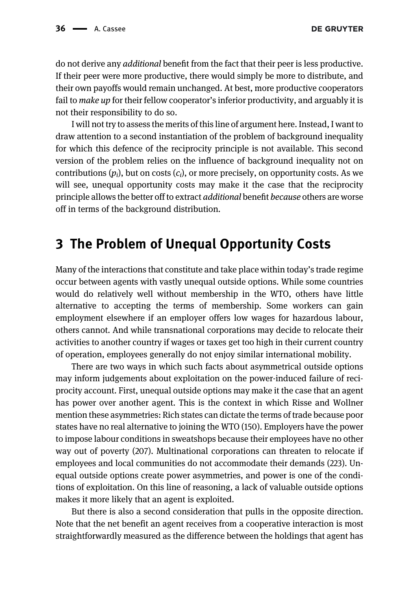do not derive any additional benefit from the fact that their peer is less productive. If their peer were more productive, there would simply be more to distribute, and their own payoffs would remain unchanged. At best, more productive cooperators fail to *make up* for their fellow cooperator's inferior productivity, and arguably it is not their responsibility to do so.

I will not try to assess the merits of this line of argument here. Instead, I want to draw attention to a second instantiation of the problem of background inequality for which this defence of the reciprocity principle is not available. This second version of the problem relies on the influence of background inequality not on contributions  $(p_i)$ , but on costs  $(c_i)$ , or more precisely, on opportunity costs. As we will see, unequal opportunity costs may make it the case that the reciprocity principle allows the better off to extract additional benefit because others are worse off in terms of the background distribution.

#### <span id="page-5-0"></span>3 The Problem of Unequal Opportunity Costs

Many of the interactions that constitute and take place within today's trade regime occur between agents with vastly unequal outside options. While some countries would do relatively well without membership in the WTO, others have little alternative to accepting the terms of membership. Some workers can gain employment elsewhere if an employer offers low wages for hazardous labour, others cannot. And while transnational corporations may decide to relocate their activities to another country if wages or taxes get too high in their current country of operation, employees generally do not enjoy similar international mobility.

There are two ways in which such facts about asymmetrical outside options may inform judgements about exploitation on the power-induced failure of reciprocity account. First, unequal outside options may make it the case that an agent has power over another agent. This is the context in which Risse and Wollner mention these asymmetries: Rich states can dictate the terms of trade because poor states have no real alternative to joining the WTO (150). Employers have the power to impose labour conditions in sweatshops because their employees have no other way out of poverty (207). Multinational corporations can threaten to relocate if employees and local communities do not accommodate their demands (223). Unequal outside options create power asymmetries, and power is one of the conditions of exploitation. On this line of reasoning, a lack of valuable outside options makes it more likely that an agent is exploited.

But there is also a second consideration that pulls in the opposite direction. Note that the net benefit an agent receives from a cooperative interaction is most straightforwardly measured as the difference between the holdings that agent has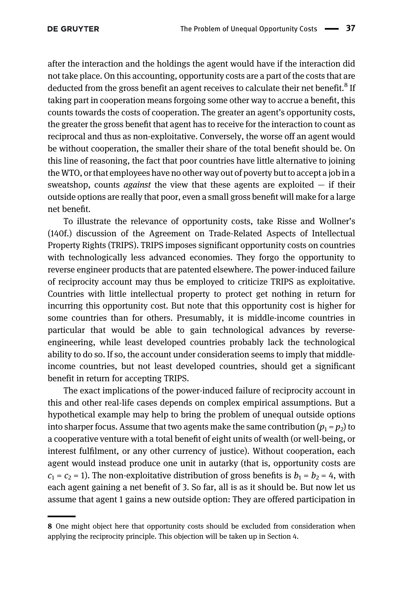after the interaction and the holdings the agent would have if the interaction did not take place. On this accounting, opportunity costs are a part of the costs that are deducted from the gross benefit an agent receives to calculate their net benefit.<sup>8</sup> If taking part in cooperation means forgoing some other way to accrue a benefit, this counts towards the costs of cooperation. The greater an agent's opportunity costs, the greater the gross benefit that agent has to receive for the interaction to count as reciprocal and thus as non-exploitative. Conversely, the worse off an agent would be without cooperation, the smaller their share of the total benefit should be. On this line of reasoning, the fact that poor countries have little alternative to joining the WTO, or that employees have no other way out of poverty but to accept a job in a sweatshop, counts *against* the view that these agents are exploited  $-$  if their outside options are really that poor, even a small gross benefit will make for a large net benefit.

To illustrate the relevance of opportunity costs, take Risse and Wollner's (140f.) discussion of the Agreement on Trade-Related Aspects of Intellectual Property Rights (TRIPS). TRIPS imposes significant opportunity costs on countries with technologically less advanced economies. They forgo the opportunity to reverse engineer products that are patented elsewhere. The power-induced failure of reciprocity account may thus be employed to criticize TRIPS as exploitative. Countries with little intellectual property to protect get nothing in return for incurring this opportunity cost. But note that this opportunity cost is higher for some countries than for others. Presumably, it is middle-income countries in particular that would be able to gain technological advances by reverseengineering, while least developed countries probably lack the technological ability to do so. If so, the account under consideration seems to imply that middleincome countries, but not least developed countries, should get a significant benefit in return for accepting TRIPS.

The exact implications of the power-induced failure of reciprocity account in this and other real-life cases depends on complex empirical assumptions. But a hypothetical example may help to bring the problem of unequal outside options into sharper focus. Assume that two agents make the same contribution  $(p_1 = p_2)$  to a cooperative venture with a total benefit of eight units of wealth (or well-being, or interest fulfilment, or any other currency of justice). Without cooperation, each agent would instead produce one unit in autarky (that is, opportunity costs are  $c_1 = c_2 = 1$ ). The non-exploitative distribution of gross benefits is  $b_1 = b_2 = 4$ , with each agent gaining a net benefit of 3. So far, all is as it should be. But now let us assume that agent 1 gains a new outside option: They are offered participation in

<sup>8</sup> One might object here that opportunity costs should be excluded from consideration when applying the reciprocity principle. This objection will be taken up in [Section 4](#page-10-0).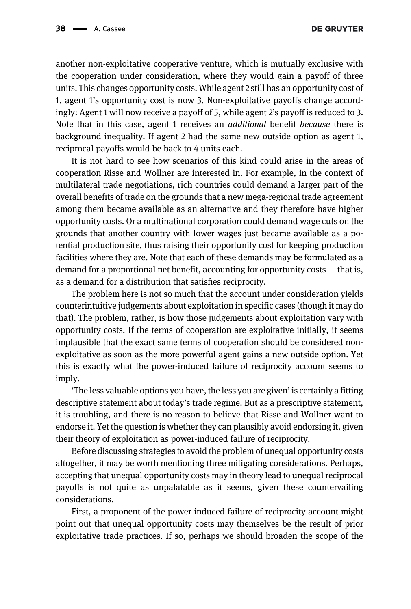another non-exploitative cooperative venture, which is mutually exclusive with the cooperation under consideration, where they would gain a payoff of three units. This changes opportunity costs. While agent 2 still has an opportunity cost of 1, agent 1's opportunity cost is now 3. Non-exploitative payoffs change accordingly: Agent 1 will now receive a payoff of 5, while agent 2's payoff is reduced to 3. Note that in this case, agent 1 receives an additional benefit because there is background inequality. If agent 2 had the same new outside option as agent 1, reciprocal payoffs would be back to 4 units each.

It is not hard to see how scenarios of this kind could arise in the areas of cooperation Risse and Wollner are interested in. For example, in the context of multilateral trade negotiations, rich countries could demand a larger part of the overall benefits of trade on the grounds that a new mega-regional trade agreement among them became available as an alternative and they therefore have higher opportunity costs. Or a multinational corporation could demand wage cuts on the grounds that another country with lower wages just became available as a potential production site, thus raising their opportunity cost for keeping production facilities where they are. Note that each of these demands may be formulated as a demand for a proportional net benefit, accounting for opportunity costs — that is, as a demand for a distribution that satisfies reciprocity.

The problem here is not so much that the account under consideration yields counterintuitive judgements about exploitation in specific cases (though it may do that). The problem, rather, is how those judgements about exploitation vary with opportunity costs. If the terms of cooperation are exploitative initially, it seems implausible that the exact same terms of cooperation should be considered nonexploitative as soon as the more powerful agent gains a new outside option. Yet this is exactly what the power-induced failure of reciprocity account seems to imply.

'The less valuable options you have, the less you are given' is certainly a fitting descriptive statement about today's trade regime. But as a prescriptive statement, it is troubling, and there is no reason to believe that Risse and Wollner want to endorse it. Yet the question is whether they can plausibly avoid endorsing it, given their theory of exploitation as power-induced failure of reciprocity.

Before discussing strategies to avoid the problem of unequal opportunity costs altogether, it may be worth mentioning three mitigating considerations. Perhaps, accepting that unequal opportunity costs may in theory lead to unequal reciprocal payoffs is not quite as unpalatable as it seems, given these countervailing considerations.

First, a proponent of the power-induced failure of reciprocity account might point out that unequal opportunity costs may themselves be the result of prior exploitative trade practices. If so, perhaps we should broaden the scope of the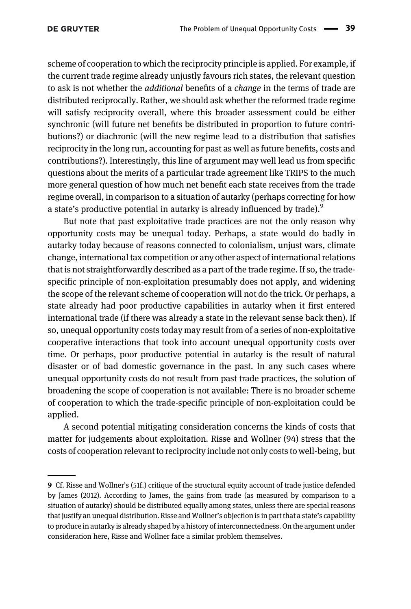scheme of cooperation to which the reciprocity principle is applied. For example, if the current trade regime already unjustly favours rich states, the relevant question to ask is not whether the *additional* benefits of a *change* in the terms of trade are distributed reciprocally. Rather, we should ask whether the reformed trade regime will satisfy reciprocity overall, where this broader assessment could be either synchronic (will future net benefits be distributed in proportion to future contributions?) or diachronic (will the new regime lead to a distribution that satisfies reciprocity in the long run, accounting for past as well as future benefits, costs and contributions?). Interestingly, this line of argument may well lead us from specific questions about the merits of a particular trade agreement like TRIPS to the much more general question of how much net benefit each state receives from the trade regime overall, in comparison to a situation of autarky (perhaps correcting for how a state's productive potential in autarky is already influenced by trade). $9$ 

But note that past exploitative trade practices are not the only reason why opportunity costs may be unequal today. Perhaps, a state would do badly in autarky today because of reasons connected to colonialism, unjust wars, climate change, international tax competition or any other aspect of international relations that is not straightforwardly described as a part of the trade regime. If so, the tradespecific principle of non-exploitation presumably does not apply, and widening the scope of the relevant scheme of cooperation will not do the trick. Or perhaps, a state already had poor productive capabilities in autarky when it first entered international trade (if there was already a state in the relevant sense back then). If so, unequal opportunity costs today may result from of a series of non-exploitative cooperative interactions that took into account unequal opportunity costs over time. Or perhaps, poor productive potential in autarky is the result of natural disaster or of bad domestic governance in the past. In any such cases where unequal opportunity costs do not result from past trade practices, the solution of broadening the scope of cooperation is not available: There is no broader scheme of cooperation to which the trade-specific principle of non-exploitation could be applied.

A second potential mitigating consideration concerns the kinds of costs that matter for judgements about exploitation. Risse and Wollner (94) stress that the costs of cooperation relevant to reciprocity include not only costs to well-being, but

<sup>9</sup> Cf. Risse and Wollner's (51f.) critique of the structural equity account of trade justice defended by [James \(2012\)](#page-19-4). According to James, the gains from trade (as measured by comparison to a situation of autarky) should be distributed equally among states, unless there are special reasons that justify an unequal distribution. Risse and Wollner's objection is in part that a state's capability to produce in autarky is already shaped by a history of interconnectedness. On the argument under consideration here, Risse and Wollner face a similar problem themselves.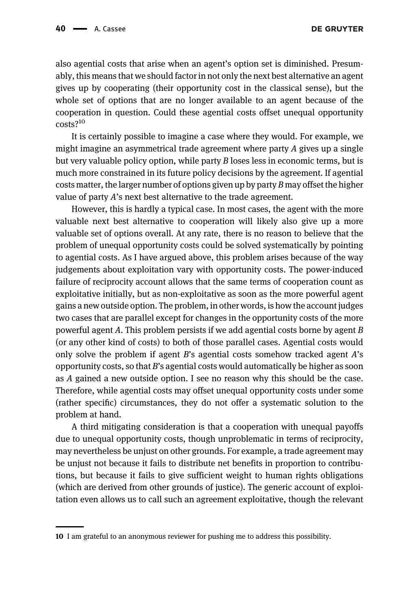also agential costs that arise when an agent's option set is diminished. Presumably, this means that we should factor in not only the next best alternative an agent gives up by cooperating (their opportunity cost in the classical sense), but the whole set of options that are no longer available to an agent because of the cooperation in question. Could these agential costs offset unequal opportunity costs?<sup>10</sup>

It is certainly possible to imagine a case where they would. For example, we might imagine an asymmetrical trade agreement where party  $A$  gives up a single but very valuable policy option, while party  $B$  loses less in economic terms, but is much more constrained in its future policy decisions by the agreement. If agential costs matter, the larger number of options given up by party B may offset the higher value of party A's next best alternative to the trade agreement.

However, this is hardly a typical case. In most cases, the agent with the more valuable next best alternative to cooperation will likely also give up a more valuable set of options overall. At any rate, there is no reason to believe that the problem of unequal opportunity costs could be solved systematically by pointing to agential costs. As I have argued above, this problem arises because of the way judgements about exploitation vary with opportunity costs. The power-induced failure of reciprocity account allows that the same terms of cooperation count as exploitative initially, but as non-exploitative as soon as the more powerful agent gains a new outside option. The problem, in other words, is how the account judges two cases that are parallel except for changes in the opportunity costs of the more powerful agent  $A$ . This problem persists if we add agential costs borne by agent  $B$ (or any other kind of costs) to both of those parallel cases. Agential costs would only solve the problem if agent  $B$ 's agential costs somehow tracked agent  $A$ 's opportunity costs, so that B's agential costs would automatically be higher as soon as A gained a new outside option. I see no reason why this should be the case. Therefore, while agential costs may offset unequal opportunity costs under some (rather specific) circumstances, they do not offer a systematic solution to the problem at hand.

A third mitigating consideration is that a cooperation with unequal payoffs due to unequal opportunity costs, though unproblematic in terms of reciprocity, may nevertheless be unjust on other grounds. For example, a trade agreement may be unjust not because it fails to distribute net benefits in proportion to contributions, but because it fails to give sufficient weight to human rights obligations (which are derived from other grounds of justice). The generic account of exploitation even allows us to call such an agreement exploitative, though the relevant

<sup>10</sup> I am grateful to an anonymous reviewer for pushing me to address this possibility.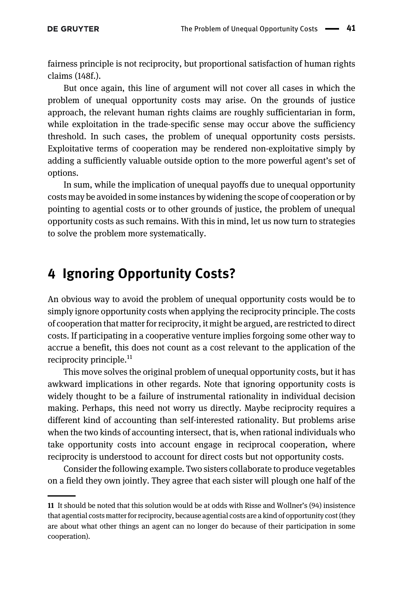fairness principle is not reciprocity, but proportional satisfaction of human rights claims (148f.).

But once again, this line of argument will not cover all cases in which the problem of unequal opportunity costs may arise. On the grounds of justice approach, the relevant human rights claims are roughly sufficientarian in form, while exploitation in the trade-specific sense may occur above the sufficiency threshold. In such cases, the problem of unequal opportunity costs persists. Exploitative terms of cooperation may be rendered non-exploitative simply by adding a sufficiently valuable outside option to the more powerful agent's set of options.

In sum, while the implication of unequal payoffs due to unequal opportunity costs may be avoided in some instances by widening the scope of cooperation or by pointing to agential costs or to other grounds of justice, the problem of unequal opportunity costs as such remains. With this in mind, let us now turn to strategies to solve the problem more systematically.

## <span id="page-10-0"></span>4 Ignoring Opportunity Costs?

An obvious way to avoid the problem of unequal opportunity costs would be to simply ignore opportunity costs when applying the reciprocity principle. The costs of cooperation that matter for reciprocity, it might be argued, are restricted to direct costs. If participating in a cooperative venture implies forgoing some other way to accrue a benefit, this does not count as a cost relevant to the application of the reciprocity principle. $^{11}$ 

This move solves the original problem of unequal opportunity costs, but it has awkward implications in other regards. Note that ignoring opportunity costs is widely thought to be a failure of instrumental rationality in individual decision making. Perhaps, this need not worry us directly. Maybe reciprocity requires a different kind of accounting than self-interested rationality. But problems arise when the two kinds of accounting intersect, that is, when rational individuals who take opportunity costs into account engage in reciprocal cooperation, where reciprocity is understood to account for direct costs but not opportunity costs.

Consider the following example. Two sisters collaborate to produce vegetables on a field they own jointly. They agree that each sister will plough one half of the

<sup>11</sup> It should be noted that this solution would be at odds with Risse and Wollner's (94) insistence that agential costs matter for reciprocity, because agential costs are a kind of opportunity cost (they are about what other things an agent can no longer do because of their participation in some cooperation).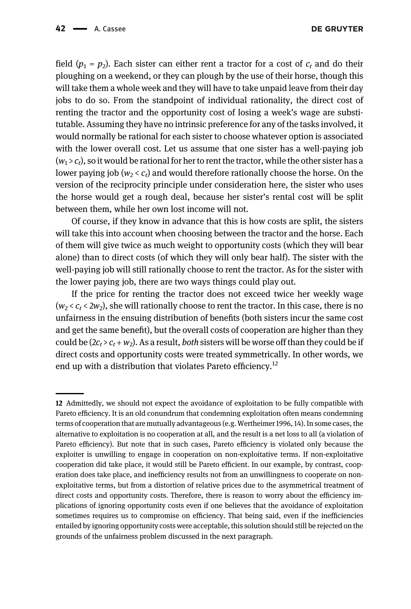field  $(p_1 = p_2)$ . Each sister can either rent a tractor for a cost of  $c_t$  and do their ploughing on a weekend, or they can plough by the use of their horse, though this will take them a whole week and they will have to take unpaid leave from their day jobs to do so. From the standpoint of individual rationality, the direct cost of renting the tractor and the opportunity cost of losing a week's wage are substitutable. Assuming they have no intrinsic preference for any of the tasks involved, it would normally be rational for each sister to choose whatever option is associated with the lower overall cost. Let us assume that one sister has a well-paying job  $(w_1 > c_t)$ , so it would be rational for her to rent the tractor, while the other sister has a lower paying job ( $w_2 < c_t$ ) and would therefore rationally choose the horse. On the version of the reciprocity principle under consideration here, the sister who uses the horse would get a rough deal, because her sister's rental cost will be split between them, while her own lost income will not.

Of course, if they know in advance that this is how costs are split, the sisters will take this into account when choosing between the tractor and the horse. Each of them will give twice as much weight to opportunity costs (which they will bear alone) than to direct costs (of which they will only bear half). The sister with the well-paying job will still rationally choose to rent the tractor. As for the sister with the lower paying job, there are two ways things could play out.

If the price for renting the tractor does not exceed twice her weekly wage  $(w_2 < c_1 < 2w_2)$ , she will rationally choose to rent the tractor. In this case, there is no unfairness in the ensuing distribution of benefits (both sisters incur the same cost and get the same benefit), but the overall costs of cooperation are higher than they could be  $(2c_t > c_t + w_2)$ . As a result, *both* sisters will be worse off than they could be if direct costs and opportunity costs were treated symmetrically. In other words, we end up with a distribution that violates Pareto efficiency.<sup>12</sup>

<sup>12</sup> Admittedly, we should not expect the avoidance of exploitation to be fully compatible with Pareto efficiency. It is an old conundrum that condemning exploitation often means condemning terms of cooperation that are mutually advantageous (e.g. [Wertheimer 1996,](#page-19-5) 14). In some cases, the alternative to exploitation is no cooperation at all, and the result is a net loss to all (a violation of Pareto efficiency). But note that in such cases, Pareto efficiency is violated only because the exploiter is unwilling to engage in cooperation on non-exploitative terms. If non-exploitative cooperation did take place, it would still be Pareto efficient. In our example, by contrast, cooperation does take place, and inefficiency results not from an unwillingness to cooperate on nonexploitative terms, but from a distortion of relative prices due to the asymmetrical treatment of direct costs and opportunity costs. Therefore, there is reason to worry about the efficiency implications of ignoring opportunity costs even if one believes that the avoidance of exploitation sometimes requires us to compromise on efficiency. That being said, even if the inefficiencies entailed by ignoring opportunity costs were acceptable, this solution should still be rejected on the grounds of the unfairness problem discussed in the next paragraph.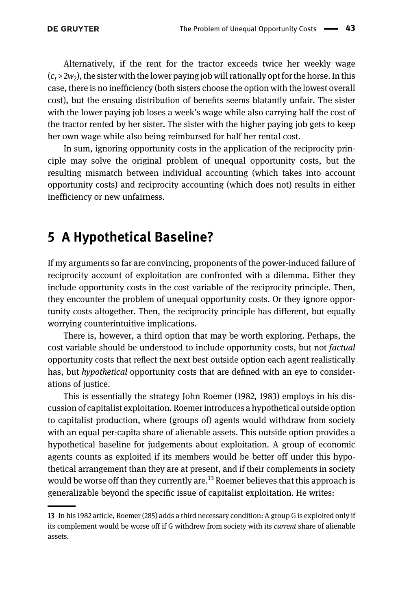Alternatively, if the rent for the tractor exceeds twice her weekly wage  $(c_t > 2w_2)$ , the sister with the lower paying job will rationally opt for the horse. In this case, there is no inefficiency (both sisters choose the option with the lowest overall cost), but the ensuing distribution of benefits seems blatantly unfair. The sister with the lower paying job loses a week's wage while also carrying half the cost of the tractor rented by her sister. The sister with the higher paying job gets to keep her own wage while also being reimbursed for half her rental cost.

In sum, ignoring opportunity costs in the application of the reciprocity principle may solve the original problem of unequal opportunity costs, but the resulting mismatch between individual accounting (which takes into account opportunity costs) and reciprocity accounting (which does not) results in either inefficiency or new unfairness.

### <span id="page-12-0"></span>5 A Hypothetical Baseline?

If my arguments so far are convincing, proponents of the power-induced failure of reciprocity account of exploitation are confronted with a dilemma. Either they include opportunity costs in the cost variable of the reciprocity principle. Then, they encounter the problem of unequal opportunity costs. Or they ignore opportunity costs altogether. Then, the reciprocity principle has different, but equally worrying counterintuitive implications.

There is, however, a third option that may be worth exploring. Perhaps, the cost variable should be understood to include opportunity costs, but not factual opportunity costs that reflect the next best outside option each agent realistically has, but *hypothetical* opportunity costs that are defined with an eye to considerations of justice.

This is essentially the strategy [John Roemer \(1982,](#page-19-6) [1983\)](#page-19-7) employs in his discussion of capitalist exploitation. Roemer introduces a hypothetical outside option to capitalist production, where (groups of) agents would withdraw from society with an equal per-capita share of alienable assets. This outside option provides a hypothetical baseline for judgements about exploitation. A group of economic agents counts as exploited if its members would be better off under this hypothetical arrangement than they are at present, and if their complements in society would be worse off than they currently are.<sup>13</sup> Roemer believes that this approach is generalizable beyond the specific issue of capitalist exploitation. He writes:

<sup>13</sup> In his 1982 article, Roemer (285) adds a third necessary condition: A group G is exploited only if its complement would be worse off if G withdrew from society with its current share of alienable assets.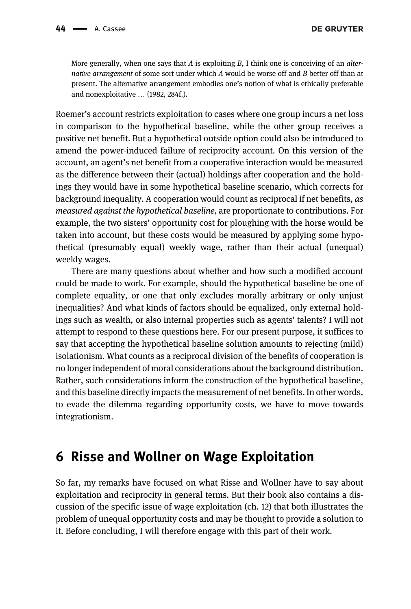More generally, when one says that A is exploiting  $B$ , I think one is conceiving of an *alter*native arrangement of some sort under which A would be worse off and B better off than at present. The alternative arrangement embodies one's notion of what is ethically preferable and nonexploitative … (1982, 284f.).

Roemer's account restricts exploitation to cases where one group incurs a net loss in comparison to the hypothetical baseline, while the other group receives a positive net benefit. But a hypothetical outside option could also be introduced to amend the power-induced failure of reciprocity account. On this version of the account, an agent's net benefit from a cooperative interaction would be measured as the difference between their (actual) holdings after cooperation and the holdings they would have in some hypothetical baseline scenario, which corrects for background inequality. A cooperation would count as reciprocal if net benefits, as measured against the hypothetical baseline, are proportionate to contributions. For example, the two sisters' opportunity cost for ploughing with the horse would be taken into account, but these costs would be measured by applying some hypothetical (presumably equal) weekly wage, rather than their actual (unequal) weekly wages.

There are many questions about whether and how such a modified account could be made to work. For example, should the hypothetical baseline be one of complete equality, or one that only excludes morally arbitrary or only unjust inequalities? And what kinds of factors should be equalized, only external holdings such as wealth, or also internal properties such as agents' talents? I will not attempt to respond to these questions here. For our present purpose, it suffices to say that accepting the hypothetical baseline solution amounts to rejecting (mild) isolationism. What counts as a reciprocal division of the benefits of cooperation is no longer independent of moral considerations about the background distribution. Rather, such considerations inform the construction of the hypothetical baseline, and this baseline directly impacts the measurement of net benefits. In other words, to evade the dilemma regarding opportunity costs, we have to move towards integrationism.

### <span id="page-13-0"></span>6 Risse and Wollner on Wage Exploitation

So far, my remarks have focused on what Risse and Wollner have to say about exploitation and reciprocity in general terms. But their book also contains a discussion of the specific issue of wage exploitation (ch. 12) that both illustrates the problem of unequal opportunity costs and may be thought to provide a solution to it. Before concluding, I will therefore engage with this part of their work.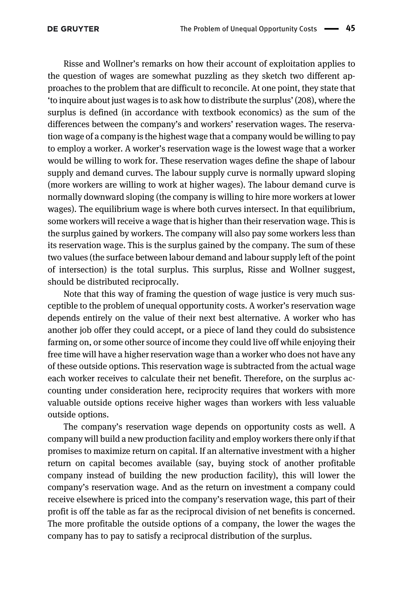Risse and Wollner's remarks on how their account of exploitation applies to the question of wages are somewhat puzzling as they sketch two different approaches to the problem that are difficult to reconcile. At one point, they state that 'to inquire about just wages is to ask how to distribute the surplus' (208), where the surplus is defined (in accordance with textbook economics) as the sum of the differences between the company's and workers' reservation wages. The reservation wage of a company is the highest wage that a company would be willing to pay to employ a worker. A worker's reservation wage is the lowest wage that a worker would be willing to work for. These reservation wages define the shape of labour supply and demand curves. The labour supply curve is normally upward sloping (more workers are willing to work at higher wages). The labour demand curve is normally downward sloping (the company is willing to hire more workers at lower wages). The equilibrium wage is where both curves intersect. In that equilibrium, some workers will receive a wage that is higher than their reservation wage. This is the surplus gained by workers. The company will also pay some workers less than its reservation wage. This is the surplus gained by the company. The sum of these two values (the surface between labour demand and labour supply left of the point of intersection) is the total surplus. This surplus, Risse and Wollner suggest, should be distributed reciprocally.

Note that this way of framing the question of wage justice is very much susceptible to the problem of unequal opportunity costs. A worker's reservation wage depends entirely on the value of their next best alternative. A worker who has another job offer they could accept, or a piece of land they could do subsistence farming on, or some other source of income they could live off while enjoying their free time will have a higher reservation wage than a worker who does not have any of these outside options. This reservation wage is subtracted from the actual wage each worker receives to calculate their net benefit. Therefore, on the surplus accounting under consideration here, reciprocity requires that workers with more valuable outside options receive higher wages than workers with less valuable outside options.

The company's reservation wage depends on opportunity costs as well. A company will build a new production facility and employ workers there only if that promises to maximize return on capital. If an alternative investment with a higher return on capital becomes available (say, buying stock of another profitable company instead of building the new production facility), this will lower the company's reservation wage. And as the return on investment a company could receive elsewhere is priced into the company's reservation wage, this part of their profit is off the table as far as the reciprocal division of net benefits is concerned. The more profitable the outside options of a company, the lower the wages the company has to pay to satisfy a reciprocal distribution of the surplus.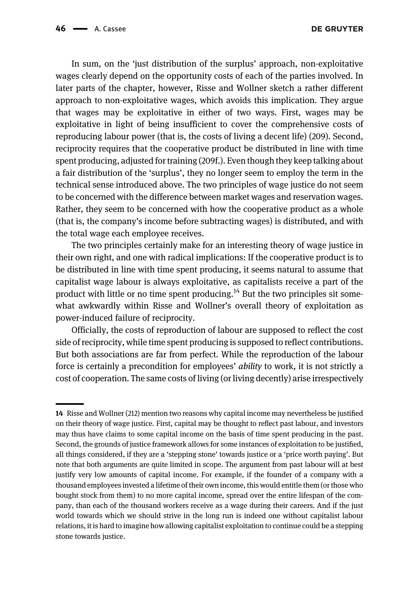In sum, on the 'just distribution of the surplus' approach, non-exploitative wages clearly depend on the opportunity costs of each of the parties involved. In later parts of the chapter, however, Risse and Wollner sketch a rather different approach to non-exploitative wages, which avoids this implication. They argue that wages may be exploitative in either of two ways. First, wages may be exploitative in light of being insufficient to cover the comprehensive costs of reproducing labour power (that is, the costs of living a decent life) (209). Second, reciprocity requires that the cooperative product be distributed in line with time spent producing, adjusted for training (209f.). Even though they keep talking about a fair distribution of the 'surplus', they no longer seem to employ the term in the technical sense introduced above. The two principles of wage justice do not seem to be concerned with the difference between market wages and reservation wages. Rather, they seem to be concerned with how the cooperative product as a whole (that is, the company's income before subtracting wages) is distributed, and with the total wage each employee receives.

The two principles certainly make for an interesting theory of wage justice in their own right, and one with radical implications: If the cooperative product is to be distributed in line with time spent producing, it seems natural to assume that capitalist wage labour is always exploitative, as capitalists receive a part of the product with little or no time spent producing.<sup>14</sup> But the two principles sit somewhat awkwardly within Risse and Wollner's overall theory of exploitation as power-induced failure of reciprocity.

Officially, the costs of reproduction of labour are supposed to reflect the cost side of reciprocity, while time spent producing is supposed to reflect contributions. But both associations are far from perfect. While the reproduction of the labour force is certainly a precondition for employees' ability to work, it is not strictly a cost of cooperation. The same costs of living (or living decently) arise irrespectively

<sup>14</sup> Risse and Wollner (212) mention two reasons why capital income may nevertheless be justified on their theory of wage justice. First, capital may be thought to reflect past labour, and investors may thus have claims to some capital income on the basis of time spent producing in the past. Second, the grounds of justice framework allows for some instances of exploitation to be justified, all things considered, if they are a 'stepping stone' towards justice or a 'price worth paying'. But note that both arguments are quite limited in scope. The argument from past labour will at best justify very low amounts of capital income. For example, if the founder of a company with a thousand employees invested a lifetime of their own income, this would entitle them (or those who bought stock from them) to no more capital income, spread over the entire lifespan of the company, than each of the thousand workers receive as a wage during their careers. And if the just world towards which we should strive in the long run is indeed one without capitalist labour relations, it is hard to imagine how allowing capitalist exploitation to continue could be a stepping stone towards justice.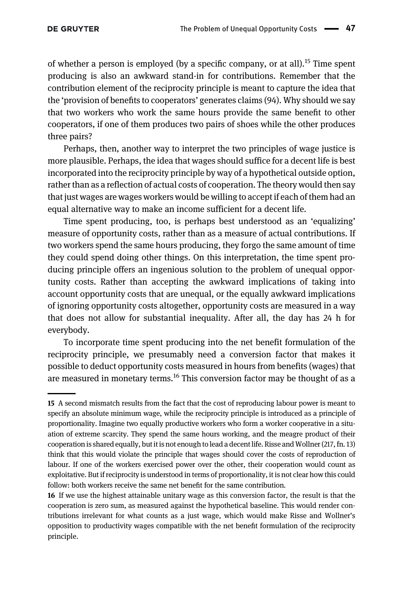of whether a person is employed (by a specific company, or at all).<sup>15</sup> Time spent producing is also an awkward stand-in for contributions. Remember that the contribution element of the reciprocity principle is meant to capture the idea that the 'provision of benefits to cooperators' generates claims (94). Why should we say that two workers who work the same hours provide the same benefit to other cooperators, if one of them produces two pairs of shoes while the other produces three pairs?

Perhaps, then, another way to interpret the two principles of wage justice is more plausible. Perhaps, the idea that wages should suffice for a decent life is best incorporated into the reciprocity principle by way of a hypothetical outside option, rather than as a reflection of actual costs of cooperation. The theory would then say that just wages are wages workers would be willing to accept if each of them had an equal alternative way to make an income sufficient for a decent life.

Time spent producing, too, is perhaps best understood as an 'equalizing' measure of opportunity costs, rather than as a measure of actual contributions. If two workers spend the same hours producing, they forgo the same amount of time they could spend doing other things. On this interpretation, the time spent producing principle offers an ingenious solution to the problem of unequal opportunity costs. Rather than accepting the awkward implications of taking into account opportunity costs that are unequal, or the equally awkward implications of ignoring opportunity costs altogether, opportunity costs are measured in a way that does not allow for substantial inequality. After all, the day has 24 h for everybody.

To incorporate time spent producing into the net benefit formulation of the reciprocity principle, we presumably need a conversion factor that makes it possible to deduct opportunity costs measured in hours from benefits (wages) that are measured in monetary terms.<sup>16</sup> This conversion factor may be thought of as a

<sup>15</sup> A second mismatch results from the fact that the cost of reproducing labour power is meant to specify an absolute minimum wage, while the reciprocity principle is introduced as a principle of proportionality. Imagine two equally productive workers who form a worker cooperative in a situation of extreme scarcity. They spend the same hours working, and the meagre product of their cooperation is shared equally, but it is not enough to lead a decent life. Risse and Wollner (217, fn. 13) think that this would violate the principle that wages should cover the costs of reproduction of labour. If one of the workers exercised power over the other, their cooperation would count as exploitative. But if reciprocity is understood in terms of proportionality, it is not clear how this could follow: both workers receive the same net benefit for the same contribution.

<sup>16</sup> If we use the highest attainable unitary wage as this conversion factor, the result is that the cooperation is zero sum, as measured against the hypothetical baseline. This would render contributions irrelevant for what counts as a just wage, which would make Risse and Wollner's opposition to productivity wages compatible with the net benefit formulation of the reciprocity principle.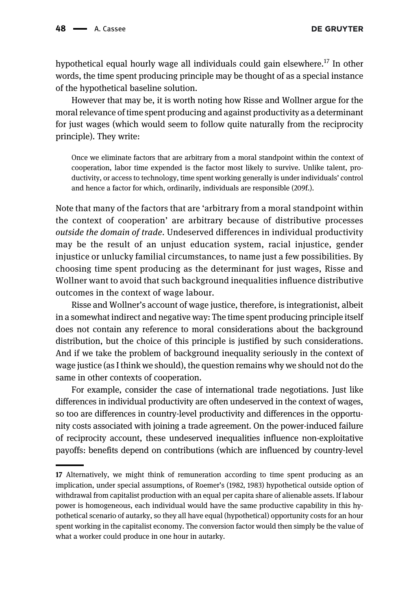hypothetical equal hourly wage all individuals could gain elsewhere.<sup>17</sup> In other words, the time spent producing principle may be thought of as a special instance of the hypothetical baseline solution.

However that may be, it is worth noting how Risse and Wollner argue for the moral relevance of time spent producing and against productivity as a determinant for just wages (which would seem to follow quite naturally from the reciprocity principle). They write:

Once we eliminate factors that are arbitrary from a moral standpoint within the context of cooperation, labor time expended is the factor most likely to survive. Unlike talent, productivity, or access to technology, time spent working generally is under individuals' control and hence a factor for which, ordinarily, individuals are responsible (209f.).

Note that many of the factors that are 'arbitrary from a moral standpoint within the context of cooperation' are arbitrary because of distributive processes outside the domain of trade. Undeserved differences in individual productivity may be the result of an unjust education system, racial injustice, gender injustice or unlucky familial circumstances, to name just a few possibilities. By choosing time spent producing as the determinant for just wages, Risse and Wollner want to avoid that such background inequalities influence distributive outcomes in the context of wage labour.

Risse and Wollner's account of wage justice, therefore, is integrationist, albeit in a somewhat indirect and negative way: The time spent producing principle itself does not contain any reference to moral considerations about the background distribution, but the choice of this principle is justified by such considerations. And if we take the problem of background inequality seriously in the context of wage justice (as I think we should), the question remains why we should not do the same in other contexts of cooperation.

For example, consider the case of international trade negotiations. Just like differences in individual productivity are often undeserved in the context of wages, so too are differences in country-level productivity and differences in the opportunity costs associated with joining a trade agreement. On the power-induced failure of reciprocity account, these undeserved inequalities influence non-exploitative payoffs: benefits depend on contributions (which are influenced by country-level

<sup>17</sup> Alternatively, we might think of remuneration according to time spent producing as an implication, under special assumptions, of [Roemer](#page-19-6)'s (1982, [1983\)](#page-19-7) hypothetical outside option of withdrawal from capitalist production with an equal per capita share of alienable assets. If labour power is homogeneous, each individual would have the same productive capability in this hypothetical scenario of autarky, so they all have equal (hypothetical) opportunity costs for an hour spent working in the capitalist economy. The conversion factor would then simply be the value of what a worker could produce in one hour in autarky.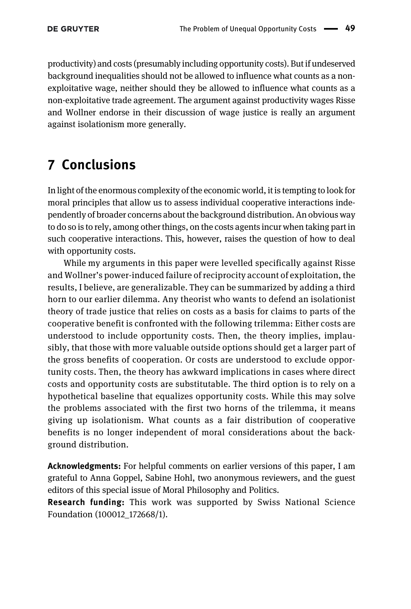productivity) and costs (presumably including opportunity costs). But if undeserved background inequalities should not be allowed to influence what counts as a nonexploitative wage, neither should they be allowed to influence what counts as a non-exploitative trade agreement. The argument against productivity wages Risse and Wollner endorse in their discussion of wage justice is really an argument against isolationism more generally.

## <span id="page-18-0"></span>7 Conclusions

In light of the enormous complexity of the economic world, it is tempting to look for moral principles that allow us to assess individual cooperative interactions independently of broader concerns about the background distribution. An obvious way to do so is to rely, among other things, on the costs agents incur when taking part in such cooperative interactions. This, however, raises the question of how to deal with opportunity costs.

While my arguments in this paper were levelled specifically against Risse and Wollner's power-induced failure of reciprocity account of exploitation, the results, I believe, are generalizable. They can be summarized by adding a third horn to our earlier dilemma. Any theorist who wants to defend an isolationist theory of trade justice that relies on costs as a basis for claims to parts of the cooperative benefit is confronted with the following trilemma: Either costs are understood to include opportunity costs. Then, the theory implies, implausibly, that those with more valuable outside options should get a larger part of the gross benefits of cooperation. Or costs are understood to exclude opportunity costs. Then, the theory has awkward implications in cases where direct costs and opportunity costs are substitutable. The third option is to rely on a hypothetical baseline that equalizes opportunity costs. While this may solve the problems associated with the first two horns of the trilemma, it means giving up isolationism. What counts as a fair distribution of cooperative benefits is no longer independent of moral considerations about the background distribution.

Acknowledgments: For helpful comments on earlier versions of this paper, I am grateful to Anna Goppel, Sabine Hohl, two anonymous reviewers, and the guest editors of this special issue of Moral Philosophy and Politics.

Research funding: This work was supported by Swiss National Science Foundation (100012\_172668/1).